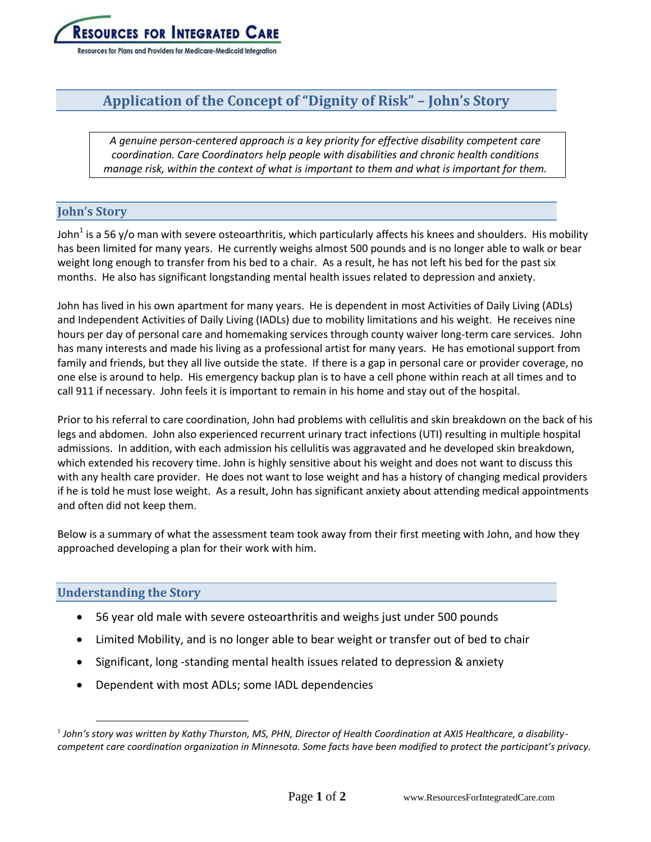

# **Application of the Concept of "Dignity of Risk" – John's Story**

*A genuine person-centered approach is a key priority for effective disability competent care coordination. Care Coordinators help people with disabilities and chronic health conditions manage risk, within the context of what is important to them and what is important for them.*

# **John's Story**

John<sup>1</sup> is a 56 y/o man with severe osteoarthritis, which particularly affects his knees and shoulders. His mobility has been limited for many years. He currently weighs almost 500 pounds and is no longer able to walk or bear weight long enough to transfer from his bed to a chair. As a result, he has not left his bed for the past six months. He also has significant longstanding mental health issues related to depression and anxiety.

John has lived in his own apartment for many years. He is dependent in most Activities of Daily Living (ADLs) and Independent Activities of Daily Living (IADLs) due to mobility limitations and his weight. He receives nine hours per day of personal care and homemaking services through county waiver long-term care services. John has many interests and made his living as a professional artist for many years. He has emotional support from family and friends, but they all live outside the state. If there is a gap in personal care or provider coverage, no one else is around to help. His emergency backup plan is to have a cell phone within reach at all times and to call 911 if necessary. John feels it is important to remain in his home and stay out of the hospital.

Prior to his referral to care coordination, John had problems with cellulitis and skin breakdown on the back of his legs and abdomen. John also experienced recurrent urinary tract infections (UTI) resulting in multiple hospital admissions. In addition, with each admission his cellulitis was aggravated and he developed skin breakdown, which extended his recovery time. John is highly sensitive about his weight and does not want to discuss this with any health care provider. He does not want to lose weight and has a history of changing medical providers if he is told he must lose weight. As a result, John has significant anxiety about attending medical appointments and often did not keep them.

Below is a summary of what the assessment team took away from their first meeting with John, and how they approached developing a plan for their work with him.

# **Understanding the Story**

 $\overline{a}$ 

- 56 year old male with severe osteoarthritis and weighs just under 500 pounds
- Limited Mobility, and is no longer able to bear weight or transfer out of bed to chair
- Significant, long -standing mental health issues related to depression & anxiety
- Dependent with most ADLs; some IADL dependencies

<sup>1</sup> *John's story was written by Kathy Thurston, MS, PHN, Director of Health Coordination at AXIS Healthcare, a disabilitycompetent care coordination organization in Minnesota. Some facts have been modified to protect the participant's privacy.*